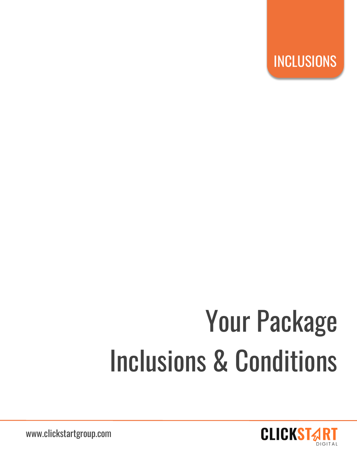

# Your Package Inclusions & Conditions



www.clickstartgroup.com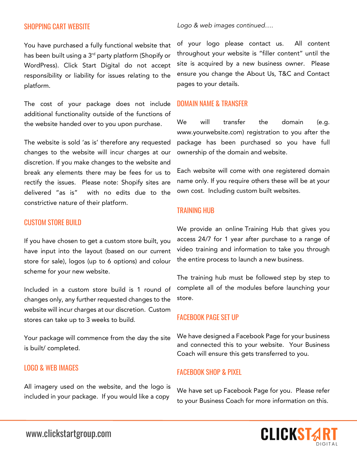# SHOPPING CART WEBSITE

You have purchased a fully functional website that has been built using a 3<sup>rd</sup> party platform (Shopify or WordPress). Click Start Digital do not accept responsibility or liability for issues relating to the platform.

The cost of your package does not include additional functionality outside of the functions of the website handed over to you upon purchase.

The website is sold 'as is' therefore any requested changes to the website will incur charges at our discretion. If you make changes to the website and break any elements there may be fees for us to rectify the issues. Please note: Shopify sites are delivered "as is" with no edits due to the constrictive nature of their platform.

## CUSTOM STORE BUILD

If you have chosen to get a custom store built, you have input into the layout (based on our current store for sale), logos (up to 6 options) and colour scheme for your new website.

Included in a custom store build is 1 round of changes only, any further requested changes to the website will incur charges at our discretion. Custom stores can take up to 3 weeks to build.

Your package will commence from the day the site is built/ completed.

#### LOGO & WEB IMAGES

All imagery used on the website, and the logo is included in your package. If you would like a copy

*Logo & web images continued….* 

of your logo please contact us. All content throughout your website is "filler content" until the site is acquired by a new business owner. Please ensure you change the About Us, T&C and Contact pages to your details.

#### DOMAIN NAME & TRANSFER

We will transfer the domain (e.g. www.yourwebsite.com) registration to you after the package has been purchased so you have full ownership of the domain and website.

Each website will come with one registered domain name only. If you require others these will be at your own cost. Including custom built websites.

## TRAINING HUB

We provide an online Training Hub that gives you access 24/7 for 1 year after purchase to a range of video training and information to take you through the entire process to launch a new business.

The training hub must be followed step by step to complete all of the modules before launching your store.

#### FACEBOOK PAGE SET UP

We have designed a Facebook Page for your business and connected this to your website. Your Business Coach will ensure this gets transferred to you.

## FACEBOOK SHOP & PIXEL

We have set up Facebook Page for you. Please refer to your Business Coach for more information on this.

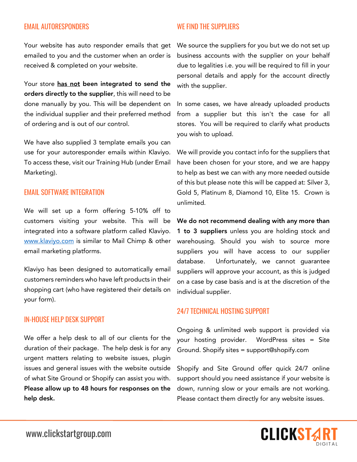# EMAIL AUTORESPONDERS

WE FIND THE SUPPLIFRS

Your website has auto responder emails that get emailed to you and the customer when an order is received & completed on your website.

Your store has not been integrated to send the orders directly to the supplier, this will need to be done manually by you. This will be dependent on the individual supplier and their preferred method of ordering and is out of our control.

We have also supplied 3 template emails you can use for your autoresponder emails within Klaviyo. To access these, visit our Training Hub (under Email Marketing).

## EMAIL SOFTWARE INTEGRATION

We will set up a form offering 5-10% off to customers visiting your website. This will be integrated into a software platform called Klaviyo. www.klaviyo.com is similar to Mail Chimp & other email marketing platforms.

Klaviyo has been designed to automatically email customers reminders who have left products in their shopping cart (who have registered their details on your form).

## IN-HOUSE HELP DESK SUPPORT

We offer a help desk to all of our clients for the duration of their package. The help desk is for any urgent matters relating to website issues, plugin issues and general issues with the website outside of what Site Ground or Shopify can assist you with. Please allow up to 48 hours for responses on the help desk.

We source the suppliers for you but we do not set up business accounts with the supplier on your behalf due to legalities i.e. you will be required to fill in your personal details and apply for the account directly with the supplier.

In some cases, we have already uploaded products from a supplier but this isn't the case for all stores. You will be required to clarify what products you wish to upload.

We will provide you contact info for the suppliers that have been chosen for your store, and we are happy to help as best we can with any more needed outside of this but please note this will be capped at: Silver 3, Gold 5, Platinum 8, Diamond 10, Elite 15. Crown is unlimited.

We do not recommend dealing with any more than 1 to 3 suppliers unless you are holding stock and warehousing. Should you wish to source more suppliers you will have access to our supplier database. Unfortunately, we cannot guarantee suppliers will approve your account, as this is judged on a case by case basis and is at the discretion of the individual supplier.

## 24/7 TECHNICAL HOSTING SUPPORT

Ongoing & unlimited web support is provided via your hosting provider. WordPress sites = Site Ground. Shopify sites = support@shopify.com

Shopify and Site Ground offer quick 24/7 online support should you need assistance if your website is down, running slow or your emails are not working. Please contact them directly for any website issues.

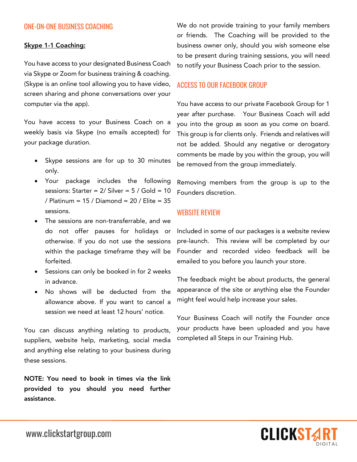# ONE-ON-ONE BUSINESS COACHING

#### Skype 1-1 Coaching:

You have access to your designated Business Coach via Skype or Zoom for business training & coaching. (Skype is an online tool allowing you to have video, screen sharing and phone conversations over your computer via the app).

You have access to your Business Coach on a weekly basis via Skype (no emails accepted) for your package duration.

- Skype sessions are for up to 30 minutes only.
- Your package includes the following sessions: Starter =  $2/$  Silver =  $5/$  Gold =  $10$ / Platinum = 15 / Diamond = 20 / Elite = 35 sessions.
- The sessions are non-transferrable, and we do not offer pauses for holidays or otherwise. If you do not use the sessions within the package timeframe they will be forfeited.
- Sessions can only be booked in for 2 weeks in advance.
- No shows will be deducted from the allowance above. If you want to cancel a session we need at least 12 hours' notice.

You can discuss anything relating to products, suppliers, website help, marketing, social media and anything else relating to your business during these sessions.

NOTE: You need to book in times via the link provided to you should you need further assistance.

We do not provide training to your family members or friends. The Coaching will be provided to the business owner only, should you wish someone else to be present during training sessions, you will need to notify your Business Coach prior to the session.

## ACCESS TO OUR FACEBOOK GROUP

You have access to our private Facebook Group for 1 year after purchase. Your Business Coach will add you into the group as soon as you come on board. This group is for clients only. Friends and relatives will not be added. Should any negative or derogatory comments be made by you within the group, you will be removed from the group immediately.

Removing members from the group is up to the Founders discretion.

# WEBSITE REVIEW

Included in some of our packages is a website review pre-launch. This review will be completed by our Founder and recorded video feedback will be emailed to you before you launch your store.

The feedback might be about products, the general appearance of the site or anything else the Founder might feel would help increase your sales.

Your Business Coach will notify the Founder once your products have been uploaded and you have completed all Steps in our Training Hub.

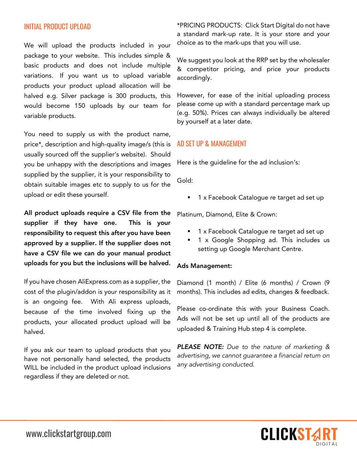# INITIAL PRODUCT UPLOAD

We will upload the products included in your package to your website. This includes simple & basic products and does not include multiple variations. If you want us to upload variable products your product upload allocation will be halved e.g. Silver package is 300 products, this would become 150 uploads by our team for variable products.

You need to supply us with the product name, price\*, description and high-quality image/s (this is usually sourced off the supplier's website). Should you be unhappy with the descriptions and images supplied by the supplier, it is your responsibility to obtain suitable images etc to supply to us for the upload or edit these yourself.

All product uploads require a CSV file from the supplier if they have one. This is your responsibility to request this after you have been approved by a supplier. If the supplier does not have a CSV file we can do your manual product uploads for you but the inclusions will be halved.

If you have chosen AliExpress.com as a supplier, the cost of the plugin/addon is your responsibility as it is an ongoing fee. With Ali express uploads, because of the time involved fixing up the products, your allocated product upload will be halved.

If you ask our team to upload products that you have not personally hand selected, the products WILL be included in the product upload inclusions regardless if they are deleted or not.

\*PRICING PRODUCTS: Click Start Digital do not have a standard mark-up rate. It is your store and your choice as to the mark-ups that you will use.

We suggest you look at the RRP set by the wholesaler & competitor pricing, and price your products accordingly.

However, for ease of the initial uploading process please come up with a standard percentage mark up (e.g. 50%). Prices can always individually be altered by yourself at a later date.

## AD SET UP & MANAGEMENT

Here is the guideline for the ad inclusion's:

Gold:

§ 1 x Facebook Catalogue re target ad set up

Platinum, Diamond, Elite & Crown:

- 1 x Facebook Catalogue re target ad set up
- § 1 x Google Shopping ad. This includes us setting up Google Merchant Centre.

#### Ads Management:

Diamond (1 month) / Elite (6 months) / Crown (9 months). This includes ad edits, changes & feedback.

Please co-ordinate this with your Business Coach. Ads will not be set up until all of the products are uploaded & Training Hub step 4 is complete.

*PLEASE NOTE: Due to the nature of marketing & advertising, we cannot guarantee a financial return on any advertising conducted.*

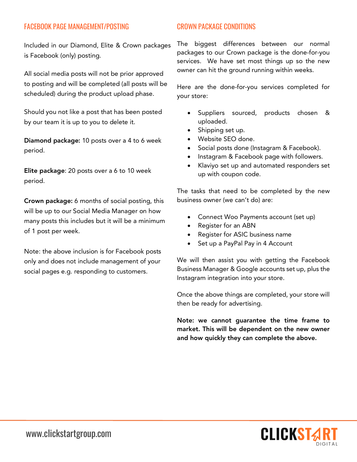# FACEBOOK PAGE MANAGEMENT/POSTING

Included in our Diamond, Elite & Crown packages is Facebook (only) posting.

All social media posts will not be prior approved to posting and will be completed (all posts will be scheduled) during the product upload phase.

Should you not like a post that has been posted by our team it is up to you to delete it.

Diamond package: 10 posts over a 4 to 6 week period.

Elite package: 20 posts over a 6 to 10 week period.

Crown package: 6 months of social posting, this will be up to our Social Media Manager on how many posts this includes but it will be a minimum of 1 post per week.

Note: the above inclusion is for Facebook posts only and does not include management of your social pages e.g. responding to customers.

# CROWN PACKAGE CONDITIONS

The biggest differences between our normal packages to our Crown package is the done-for-you services. We have set most things up so the new owner can hit the ground running within weeks.

Here are the done-for-you services completed for your store:

- Suppliers sourced, products chosen & uploaded.
- Shipping set up.
- Website SEO done.
- Social posts done (Instagram & Facebook).
- Instagram & Facebook page with followers.
- Klaviyo set up and automated responders set up with coupon code.

The tasks that need to be completed by the new business owner (we can't do) are:

- Connect Woo Payments account (set up)
- Register for an ABN
- Register for ASIC business name
- Set up a PayPal Pay in 4 Account

We will then assist you with getting the Facebook Business Manager & Google accounts set up, plus the Instagram integration into your store.

Once the above things are completed, your store will then be ready for advertising.

Note: we cannot guarantee the time frame to market. This will be dependent on the new owner and how quickly they can complete the above.